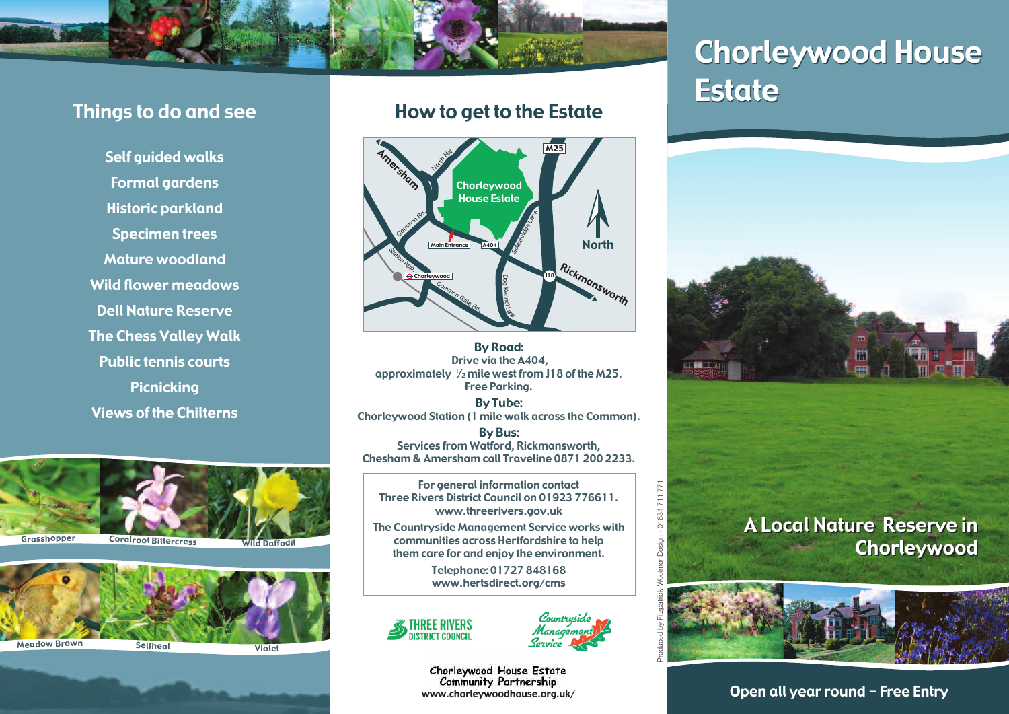

## Things to do and see

Self guided walks Formal gardens Historic parkland Specimen trees Mature woodland Wild flower meadows Dell Nature Reserve The Chess Valley Walk Public tennis courts **Picnicking** Views of the Chilterns





### How to get to the Estate



By Road: Drive via the A404, approximately  $\frac{1}{2}$  mile west from J18 of the M25. Free Parking.

By Tube: Chorleywood Station (1 mile walk across the Common).

By Bus: Services from Watford, Rickmansworth, Chesham & Amersham call Traveline 0871 200 2233.

For general information contact Three Rivers District Council on 01923 776611. www.threerivers.gov.uk

The Countryside Management Service works with communities across Hertfordshire to help them care for and enjoy the environment.

> Telephone: 01727 848168 www.hertsdirect.org/cms





 $771$  $711$ 01634

Chorleywood House Estate **Community Partnership** www.chorleywoodhouse.org.uk/

# Chorleywood House Chorleywood House Estate Estate



## A Local Nature Reserve in A Local Nature Reserve in Chorleywood Chorleywood



Open all year round - Free Entry